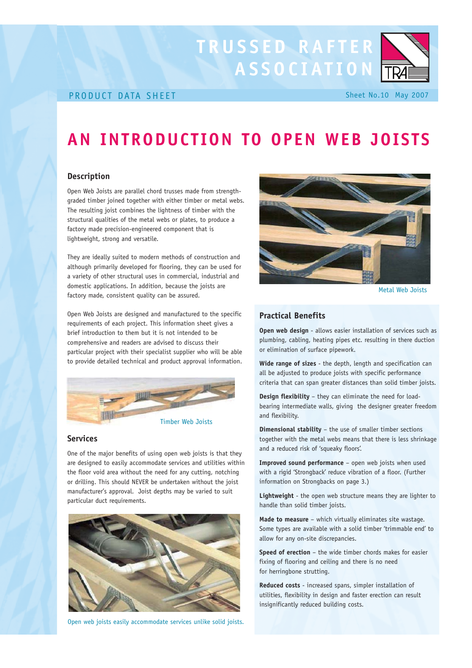# **TRUSSED RAFTER ASSOCIATION**

# PRODUCT DATA SHEET Sheet No.10 May 2007

# **AN INTRODUCTION TO OPEN WEB JOISTS**

#### **Description**

Open Web Joists are parallel chord trusses made from strengthgraded timber joined together with either timber or metal webs. The resulting joist combines the lightness of timber with the structural qualities of the metal webs or plates, to produce a factory made precision-engineered component that is lightweight, strong and versatile.

They are ideally suited to modern methods of construction and although primarily developed for flooring, they can be used for a variety of other structural uses in commercial, industrial and domestic applications. In addition, because the joists are factory made, consistent quality can be assured.

Open Web Joists are designed and manufactured to the specific requirements of each project. This information sheet gives a brief introduction to them but it is not intended to be comprehensive and readers are advised to discuss their particular project with their specialist supplier who will be able to provide detailed technical and product approval information.



#### **Services**

One of the major benefits of using open web joists is that they are designed to easily accommodate services and utilities within the floor void area without the need for any cutting, notching or drilling. This should NEVER be undertaken without the joist manufacturer's approval. Joist depths may be varied to suit particular duct requirements.



Open web joists easily accommodate services unlike solid joists.



Metal Web Joists

#### **Practical Benefits**

**Open web design** - allows easier installation of services such as plumbing, cabling, heating pipes etc. resulting in there duction or elimination of surface pipework.

**Wide range of sizes** - the depth, length and specification can all be adjusted to produce joists with specific performance criteria that can span greater distances than solid timber joists.

**Design flexibility** – they can eliminate the need for loadbearing intermediate walls, giving the designer greater freedom and flexibility.

**Dimensional stability** – the use of smaller timber sections together with the metal webs means that there is less shrinkage and a reduced risk of 'squeaky floors'.

**Improved sound performance** – open web joists when used with a rigid 'Strongback' reduce vibration of a floor. (Further information on Strongbacks on page 3.)

**Lightweight** - the open web structure means they are lighter to handle than solid timber joists.

**Made to measure** – which virtually eliminates site wastage. Some types are available with a solid timber 'trimmable end' to allow for any on-site discrepancies.

**Speed of erection** – the wide timber chords makes for easier fixing of flooring and ceiling and there is no need for herringbone strutting.

**Reduced costs** - increased spans, simpler installation of utilities, flexibility in design and faster erection can result insignificantly reduced building costs.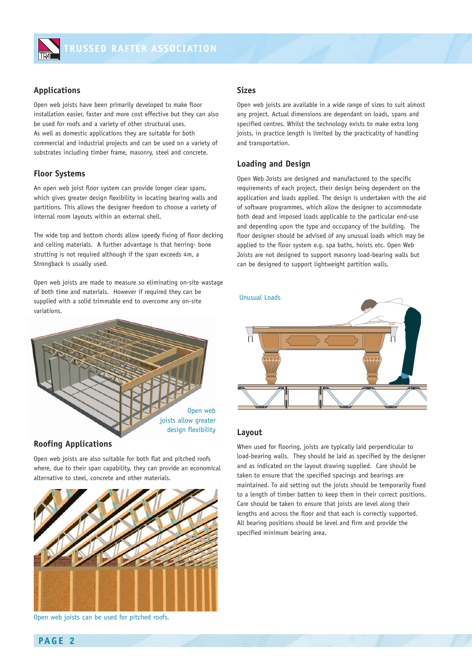

# **Applications**

Open web joists have been primarily developed to make floor installation easier, faster and more cost effective but they can also be used for roofs and a variety of other structural uses. As well as domestic applications they are suitable for both commercial and industrial projects and can be used on a variety of substrates including timber frame, masonry, steel and concrete.

### **Floor Systems**

An open web joist floor system can provide longer clear spans, which gives greater design flexibility in locating bearing walls and partitions. This allows the designer freedom to choose a variety of internal room layouts within an external shell.

The wide top and bottom chords allow speedy fixing of floor decking and ceiling materials. A further advantage is that herring- bone strutting is not required although if the span exceeds 4m, a Strongback is usually used.

Open web joists are made to measure so eliminating on-site wastage of both time and materials. However if required they can be supplied with a solid trimmable end to overcome any on-site variations.



# **Roofing Applications**

Open web joists are also suitable for both flat and pitched roofs where, due to their span capability, they can provide an economical alternative to steel, concrete and other materials.



Open web joists can be used for pitched roofs.

#### **Sizes**

Open web joists are available in a wide range of sizes to suit almost any project. Actual dimensions are dependant on loads, spans and specified centres. Whilst the technology exists to make extra long joists, in practice length is limited by the practicality of handling and transportation.

#### **Loading and Design**

Open Web Joists are designed and manufactured to the specific requirements of each project, their design being dependent on the application and loads applied. The design is undertaken with the aid of software programmes, which allow the designer to accommodate both dead and imposed loads applicable to the particular end-use and depending upon the type and occupancy of the building. The floor designer should be advised of any unusual loads which may be applied to the floor system e.g. spa baths, hoists etc. Open Web Joists are not designed to support masonry load-bearing walls but can be designed to support lightweight partition walls.



#### **Layout**

When used for flooring, joists are typically laid perpendicular to load-bearing walls. They should be laid as specified by the designer and as indicated on the layout drawing supplied. Care should be taken to ensure that the specified spacings and bearings are maintained. To aid setting out the joists should be temporarily fixed to a length of timber batten to keep them in their correct positions. Care should be taken to ensure that joists are level along their lengths and across the floor and that each is correctly supported. All bearing positions should be level and firm and provide the specified minimum bearing area.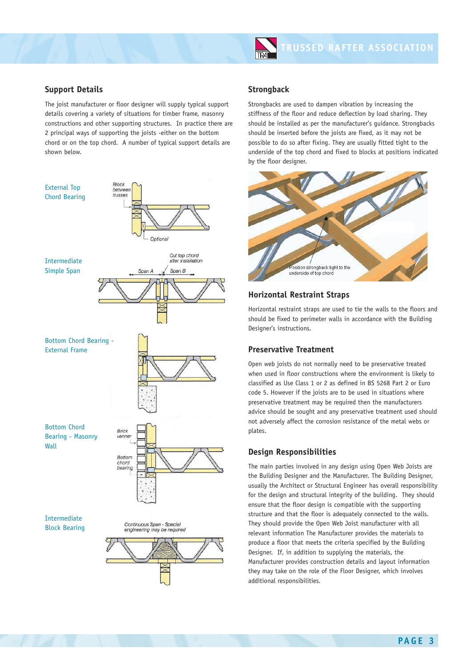## **Support Details**

The joist manufacturer or floor designer will supply typical support details covering a variety of situations for timber frame, masonry constructions and other supporting structures. In practice there are 2 principal ways of supporting the joists -either on the bottom chord or on the top chord. A number of typical support details are shown below.



#### **Strongback**

Strongbacks are used to dampen vibration by increasing the stiffness of the floor and reduce deflection by load sharing. They should be installed as per the manufacturer's guidance. Strongbacks should be inserted before the joists are fixed, as it may not be possible to do so after fixing. They are usually fitted tight to the underside of the top chord and fixed to blocks at positions indicated by the floor designer.



# **Horizontal Restraint Straps**

Horizontal restraint straps are used to tie the walls to the floors and should be fixed to perimeter walls in accordance with the Building Designer's instructions.

#### **Preservative Treatment**

Open web joists do not normally need to be preservative treated when used in floor constructions where the environment is likely to classified as Use Class 1 or 2 as defined in BS 5268 Part 2 or Euro code 5. However if the joists are to be used in situations where preservative treatment may be required then the manufacturers advice should be sought and any preservative treatment used should not adversely affect the corrosion resistance of the metal webs or plates.

### **Design Responsibilities**

The main parties involved in any design using Open Web Joists are the Building Designer and the Manufacturer. The Building Designer, usually the Architect or Structural Engineer has overall responsibility for the design and structural integrity of the building. They should ensure that the floor design is compatible with the supporting structure and that the floor is adequately connected to the walls. They should provide the Open Web Joist manufacturer with all relevant information The Manufacturer provides the materials to produce a floor that meets the criteria specified by the Building Designer. If, in addition to supplying the materials, the Manufacturer provides construction details and layout information they may take on the role of the Floor Designer, which involves additional responsibilities.